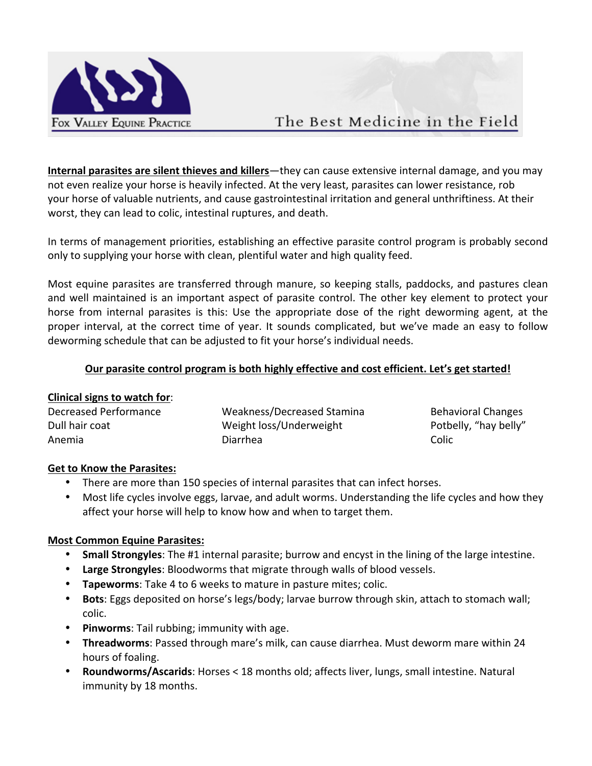

# The Best Medicine in the Field

**Internal parasites are silent thieves and killers**—they can cause extensive internal damage, and you may not even realize your horse is heavily infected. At the very least, parasites can lower resistance, rob your horse of valuable nutrients, and cause gastrointestinal irritation and general unthriftiness. At their worst, they can lead to colic, intestinal ruptures, and death.

In terms of management priorities, establishing an effective parasite control program is probably second only to supplying your horse with clean, plentiful water and high quality feed.

Most equine parasites are transferred through manure, so keeping stalls, paddocks, and pastures clean and well maintained is an important aspect of parasite control. The other key element to protect your horse from internal parasites is this: Use the appropriate dose of the right deworming agent, at the proper interval, at the correct time of year. It sounds complicated, but we've made an easy to follow deworming schedule that can be adjusted to fit your horse's individual needs.

# Our parasite control program is both highly effective and cost efficient. Let's get started!

## **Clinical signs to watch for:**

| Decreased Performance | Weakness/Decreased Stamina | <b>Behavioral Changes</b> |
|-----------------------|----------------------------|---------------------------|
| Dull hair coat        | Weight loss/Underweight    | Potbelly, "hay belly"     |
| Anemia                | Diarrhea                   | Colic                     |

## **Get to Know the Parasites:**

- There are more than 150 species of internal parasites that can infect horses.
- Most life cycles involve eggs, larvae, and adult worms. Understanding the life cycles and how they affect your horse will help to know how and when to target them.

## **Most Common Equine Parasites:**

- **Small Strongyles**: The #1 internal parasite; burrow and encyst in the lining of the large intestine.
- Large Strongyles: Bloodworms that migrate through walls of blood vessels.
- Tapeworms: Take 4 to 6 weeks to mature in pasture mites; colic.
- **Bots**: Eggs deposited on horse's legs/body; larvae burrow through skin, attach to stomach wall; colic.
- Pinworms: Tail rubbing; immunity with age.
- Threadworms: Passed through mare's milk, can cause diarrhea. Must deworm mare within 24 hours of foaling.
- **Roundworms/Ascarids**: Horses < 18 months old; affects liver, lungs, small intestine. Natural immunity by 18 months.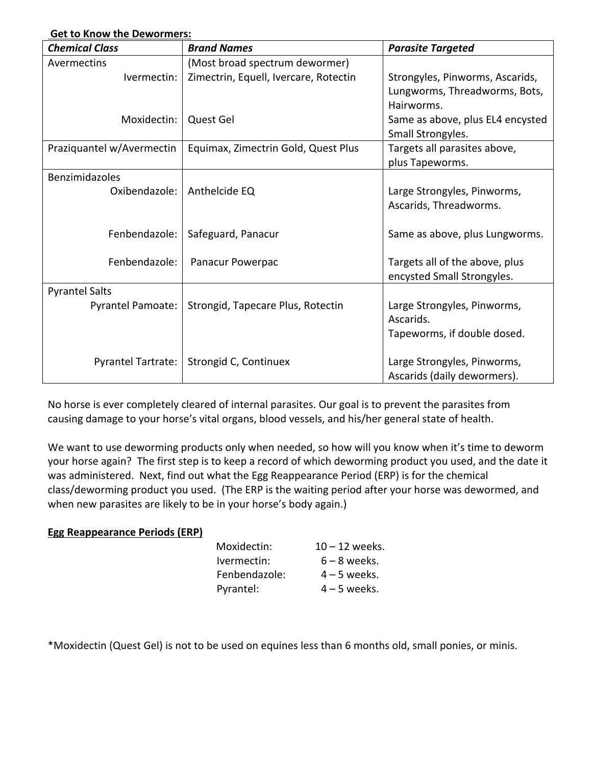| OCLIU NIIUW LIIC DEWUITIICI S. |                                       |                                  |
|--------------------------------|---------------------------------------|----------------------------------|
| <b>Chemical Class</b>          | <b>Brand Names</b>                    | <b>Parasite Targeted</b>         |
| Avermectins                    | (Most broad spectrum dewormer)        |                                  |
| Ivermectin:                    | Zimectrin, Equell, Ivercare, Rotectin | Strongyles, Pinworms, Ascarids,  |
|                                |                                       | Lungworms, Threadworms, Bots,    |
|                                |                                       | Hairworms.                       |
| Moxidectin:                    | Quest Gel                             | Same as above, plus EL4 encysted |
|                                |                                       | Small Strongyles.                |
| Praziquantel w/Avermectin      | Equimax, Zimectrin Gold, Quest Plus   | Targets all parasites above,     |
|                                |                                       | plus Tapeworms.                  |
| Benzimidazoles                 |                                       |                                  |
| Oxibendazole:                  | Anthelcide EQ                         | Large Strongyles, Pinworms,      |
|                                |                                       | Ascarids, Threadworms.           |
|                                |                                       |                                  |
| Fenbendazole:                  | Safeguard, Panacur                    | Same as above, plus Lungworms.   |
|                                |                                       |                                  |
| Fenbendazole:                  | Panacur Powerpac                      | Targets all of the above, plus   |
|                                |                                       | encysted Small Strongyles.       |
| <b>Pyrantel Salts</b>          |                                       |                                  |
| Pyrantel Pamoate:              | Strongid, Tapecare Plus, Rotectin     | Large Strongyles, Pinworms,      |
|                                |                                       | Ascarids.                        |
|                                |                                       | Tapeworms, if double dosed.      |
|                                |                                       |                                  |
| <b>Pyrantel Tartrate:</b>      | Strongid C, Continuex                 | Large Strongyles, Pinworms,      |
|                                |                                       | Ascarids (daily dewormers).      |

**Get to Know the Dewormers:**

No horse is ever completely cleared of internal parasites. Our goal is to prevent the parasites from causing damage to your horse's vital organs, blood vessels, and his/her general state of health.

We want to use deworming products only when needed, so how will you know when it's time to deworm your horse again? The first step is to keep a record of which deworming product you used, and the date it was administered. Next, find out what the Egg Reappearance Period (ERP) is for the chemical class/deworming product you used. (The ERP is the waiting period after your horse was dewormed, and when new parasites are likely to be in your horse's body again.)

#### **Egg Reappearance Periods (ERP)**

| $10 - 12$ weeks. |
|------------------|
| $6 - 8$ weeks.   |
| $4 - 5$ weeks.   |
| $4 - 5$ weeks.   |
|                  |

\*Moxidectin (Quest Gel) is not to be used on equines less than 6 months old, small ponies, or minis.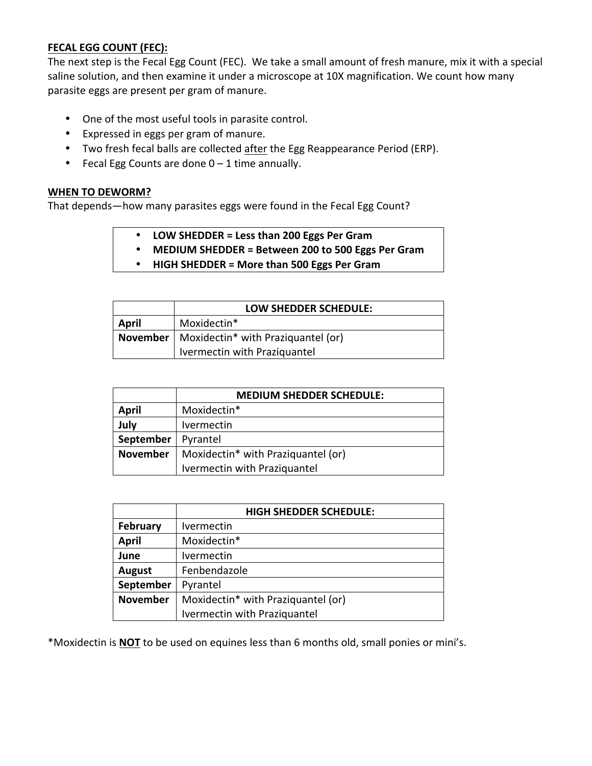## **FECAL EGG COUNT (FEC):**

The next step is the Fecal Egg Count (FEC). We take a small amount of fresh manure, mix it with a special saline solution, and then examine it under a microscope at 10X magnification. We count how many parasite eggs are present per gram of manure.

- One of the most useful tools in parasite control.
- Expressed in eggs per gram of manure.
- Two fresh fecal balls are collected after the Egg Reappearance Period (ERP).
- Fecal Egg Counts are done  $0 1$  time annually.

#### **WHEN TO DEWORM?**

That depends—how many parasites eggs were found in the Fecal Egg Count?

- **LOW SHEDDER = Less than 200 Eggs Per Gram**
- **MEDIUM SHEDDER = Between 200 to 500 Eggs Per Gram**
- **HIGH SHEDDER = More than 500 Eggs Per Gram**

|       | <b>LOW SHEDDER SCHEDULE:</b>                              |
|-------|-----------------------------------------------------------|
| April | Moxidectin*                                               |
|       | November   Moxidectin <sup>*</sup> with Praziquantel (or) |
|       | Ivermectin with Praziquantel                              |

|                 | <b>MEDIUM SHEDDER SCHEDULE:</b>    |
|-----------------|------------------------------------|
| <b>April</b>    | Moxidectin*                        |
| July            | <i><u><b>Ivermectin</b></u></i>    |
| September       | Pyrantel                           |
| <b>November</b> | Moxidectin* with Praziquantel (or) |
|                 | Ivermectin with Praziquantel       |

|                 | <b>HIGH SHEDDER SCHEDULE:</b>      |
|-----------------|------------------------------------|
| <b>February</b> | Ivermectin                         |
| <b>April</b>    | Moxidectin*                        |
| June            | Ivermectin                         |
| <b>August</b>   | Fenbendazole                       |
| September       | Pyrantel                           |
| <b>November</b> | Moxidectin* with Praziquantel (or) |
|                 | Ivermectin with Praziquantel       |

\*Moxidectin is **NOT** to be used on equines less than 6 months old, small ponies or mini's.